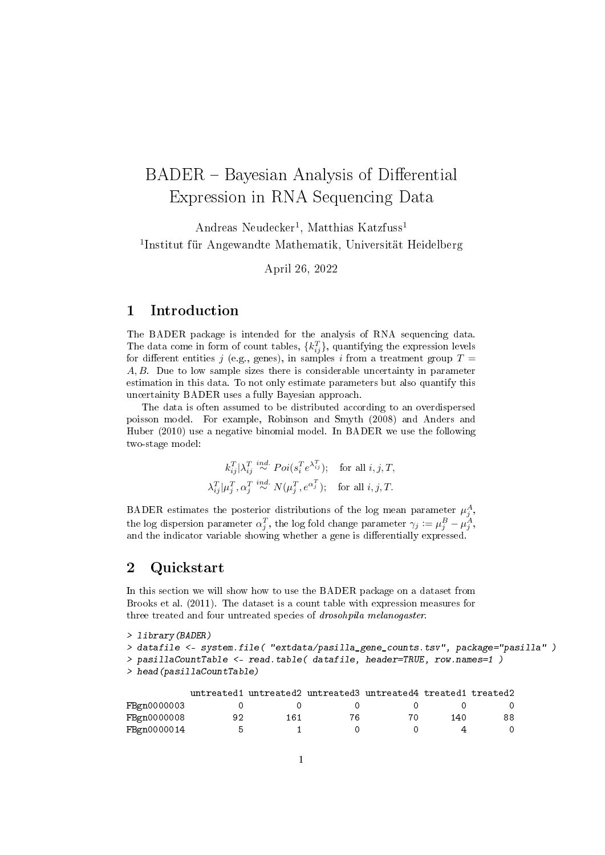# BADER – Bayesian Analysis of Differential Expression in RNA Sequencing Data

Andreas Neudecker<sup>1</sup>, Matthias Katzfuss<sup>1</sup> 1 Institut für Angewandte Mathematik, Universität Heidelberg

April 26, 2022

#### 1 Introduction

The BADER package is intended for the analysis of RNA sequencing data. The data come in form of count tables,  $\{k_{ij}^T\}$ , quantifying the expression levels for different entities j (e.g., genes), in samples i from a treatment group  $T =$ A, B. Due to low sample sizes there is considerable uncertainty in parameter estimation in this data. To not only estimate parameters but also quantify this uncertainity BADER uses a fully Bayesian approach.

The data is often assumed to be distributed according to an overdispersed poisson model. For example, Robinson and Smyth (2008) and Anders and Huber (2010) use a negative binomial model. In BADER we use the following two-stage model:

$$
k_{ij}^T | \lambda_{ij}^T \stackrel{ind.}{\sim} Poi(s_i^T e^{\lambda_{ij}^T}); \quad \text{for all } i, j, T,
$$
  

$$
\lambda_{ij}^T | \mu_j^T, \alpha_j^T \stackrel{ind.}{\sim} N(\mu_j^T, e^{\alpha_j^T}); \quad \text{for all } i, j, T.
$$

BADER estimates the posterior distributions of the log mean parameter  $\mu_j^A$ , the log dispersion parameter  $\alpha_j^T$ , the log fold change parameter  $\gamma_j := \mu_j^B - \mu_j^A$ , and the indicator variable showing whether a gene is differentially expressed.

#### 2 Quickstart

In this section we will show how to use the BADER package on a dataset from Brooks et al. (2011). The dataset is a count table with expression measures for three treated and four untreated species of drosohpila melanogaster.

```
> library(BADER)
```

```
> datafile <- system.file( "extdata/pasilla_gene_counts.tsv", package="pasilla" )
> pasillaCountTable <- read.table( datafile, header=TRUE, row.names=1 )
```

```
> head(pasillaCountTable)
```

|             |     |     | untreated1 untreated2 untreated3 untreated4 treated1 treated2 |    |     |     |
|-------------|-----|-----|---------------------------------------------------------------|----|-----|-----|
| FBgn0000003 |     |     |                                                               |    |     |     |
| FBgn0000008 | 92  | 161 | 76                                                            | 70 | 140 | 88. |
| FBgn0000014 | 'n. |     |                                                               |    |     |     |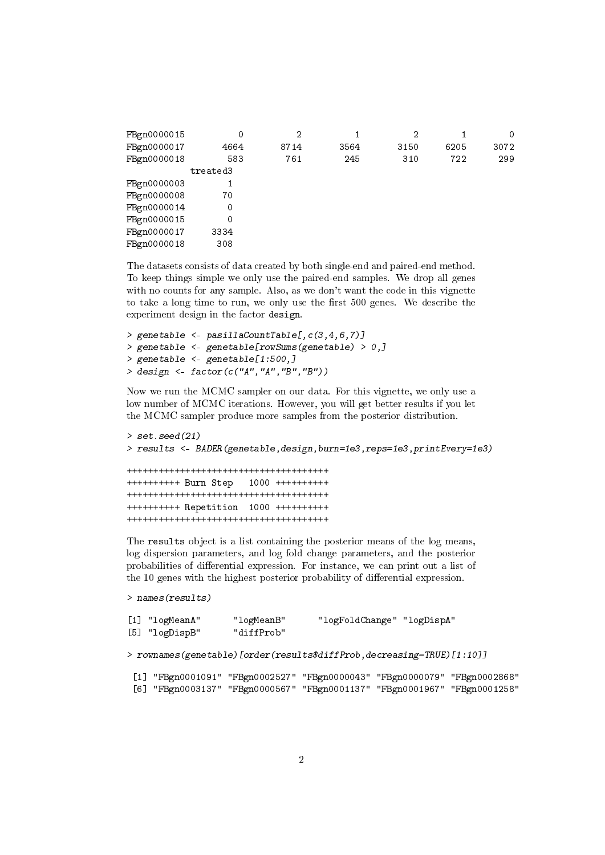| FBgn0000015 | 0        | 2    |      | 2    |      | 0    |
|-------------|----------|------|------|------|------|------|
| FBgn0000017 | 4664     | 8714 | 3564 | 3150 | 6205 | 3072 |
| FBgn0000018 | 583      | 761  | 245  | 310  | 722  | 299  |
|             | treated3 |      |      |      |      |      |
| FBgn0000003 |          |      |      |      |      |      |
| FBgn0000008 | 70       |      |      |      |      |      |
| FBgn0000014 | 0        |      |      |      |      |      |
| FBgn0000015 | 0        |      |      |      |      |      |
| FBgn0000017 | 3334     |      |      |      |      |      |
| FBgn0000018 | 308      |      |      |      |      |      |
|             |          |      |      |      |      |      |

The datasets consists of data created by both single-end and paired-end method. To keep things simple we only use the paired-end samples. We drop all genes with no counts for any sample. Also, as we don't want the code in this vignette to take a long time to run, we only use the first 500 genes. We describe the experiment design in the factor design.

> genetable <- pasillaCountTable[, $c(3, 4, 6, 7)$ ] > genetable <- genetable[rowSums(genetable) > 0,] > genetable <- genetable[1:500,] > design <- factor(c("A","A","B","B"))

Now we run the MCMC sampler on our data. For this vignette, we only use a low number of MCMC iterations. However, you will get better results if you let the MCMC sampler produce more samples from the posterior distribution.

```
> set.seed(21)
> results <- BADER(genetable,design,burn=1e3,reps=1e3,printEvery=1e3)
++++++++++++++++++++++++++++++++++++++
++++++++++ Burn Step 1000 ++++++++++
++++++++++++++++++++++++++++++++++++++
++++++++++ Repetition 1000 ++++++++++
++++++++++++++++++++++++++++++++++++++
```
The results object is a list containing the posterior means of the log means, log dispersion parameters, and log fold change parameters, and the posterior probabilities of differential expression. For instance, we can print out a list of the 10 genes with the highest posterior probability of differential expression.

```
> names(results)
```

```
[1] "logMeanA" "logMeanB" "logFoldChange" "logDispA"
[5] "logDispB" "diffProb"
```

```
> rownames(genetable)[order(results$diffProb,decreasing=TRUE)[1:10]]
```

```
[1] "FBgn0001091" "FBgn0002527" "FBgn0000043" "FBgn0000079" "FBgn0002868"
[6] "FBgn0003137" "FBgn0000567" "FBgn0001137" "FBgn0001967" "FBgn0001258"
```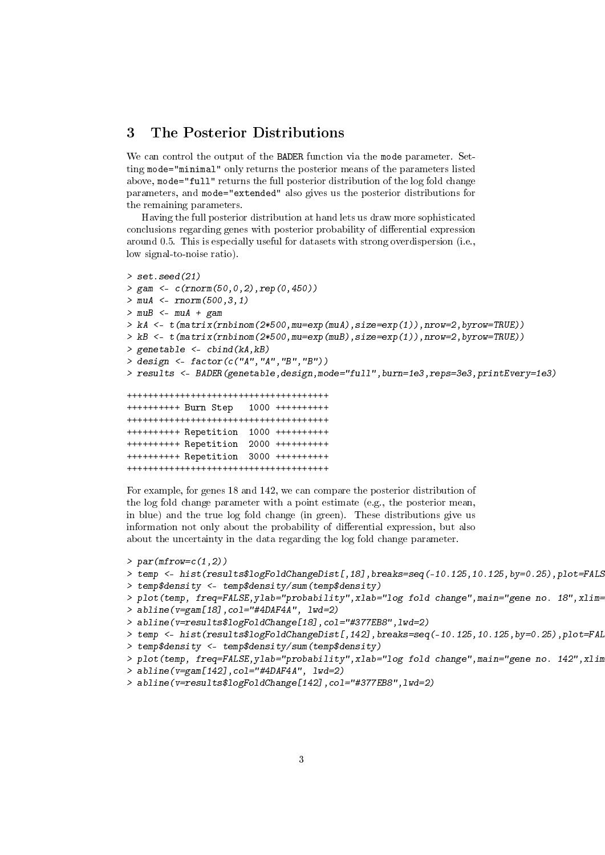## 3 The Posterior Distributions

We can control the output of the BADER function via the mode parameter. Setting mode="minimal" only returns the posterior means of the parameters listed above, mode="full" returns the full posterior distribution of the log fold change parameters, and mode="extended" also gives us the posterior distributions for the remaining parameters.

Having the full posterior distribution at hand lets us draw more sophisticated conclusions regarding genes with posterior probability of differential expression around 0.5. This is especially useful for datasets with strong overdispersion (i.e., low signal-to-noise ratio).

```
> set. seed(21)
> gam <- c(rnorm(50,0,2),rep(0,450))
> muA < - rnorm(500, 3, 1)> muB < - muA + gam> kA \leftarrow t(matrix(rnbinom(2*500,mu=exp(muA),size=exp(1)),nrow=2,byrow=TRUE))
> kB <- t(matrix(rnbinom(2*500,mu=exp(muB),size=exp(1)),nrow=2,byrow=TRUE))
> genetable <- cbind(kA,kB)
> design <- factor(c("A","A","B","B"))
> results <- BADER(genetable,design,mode="full",burn=1e3,reps=3e3,printEvery=1e3)
++++++++++++++++++++++++++++++++++++++
++++++++++ Burn Step 1000 ++++++++++
++++++++++++++++++++++++++++++++++++++
++++++++++ Repetition 1000 ++++++++++
++++++++++ Repetition 2000 ++++++++++
++++++++++ Repetition 3000 ++++++++++
++++++++++++++++++++++++++++++++++++++
```
For example, for genes 18 and 142, we can compare the posterior distribution of the log fold change parameter with a point estimate (e.g., the posterior mean, in blue) and the true log fold change (in green). These distributions give us information not only about the probability of differential expression, but also about the uncertainty in the data regarding the log fold change parameter.

```
> par(mfrow=c(1,2))
```
- > temp <- hist(results\$logFoldChangeDist[,18],breaks=seq(-10.125,10.125,by=0.25),plot=FALS
- > temp\$density <- temp\$density/sum(temp\$density)
- > plot(temp, freq=FALSE,ylab="probability",xlab="log fold change",main="gene no. 18",xlim=
- > abline(v=gam[18],col="#4DAF4A", lwd=2)
- > abline(v=results\$logFoldChange[18],col="#377EB8",lwd=2)
- > temp <- hist(results\$logFoldChangeDist[,142],breaks=seq(-10.125,10.125,by=0.25),plot=FAL
- > temp\$density <- temp\$density/sum(temp\$density)
- > plot(temp, freq=FALSE,ylab="probability",xlab="log fold change",main="gene no. 142",xlin
- > abline(v=gam[142],col="#4DAF4A", lwd=2)
- > abline(v=results\$logFoldChange[142],col="#377EB8",lwd=2)